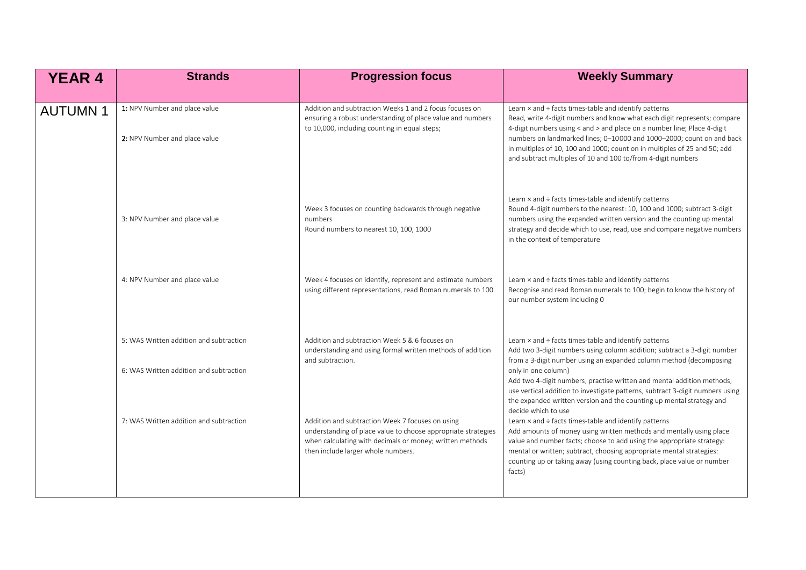| <b>YEAR 4</b>  | <b>Strands</b>                                                                     | <b>Progression focus</b>                                                                                                                                                                                            | <b>Weekly Summary</b>                                                                                                                                                                                                                                                                                                                                                                                                                                                         |
|----------------|------------------------------------------------------------------------------------|---------------------------------------------------------------------------------------------------------------------------------------------------------------------------------------------------------------------|-------------------------------------------------------------------------------------------------------------------------------------------------------------------------------------------------------------------------------------------------------------------------------------------------------------------------------------------------------------------------------------------------------------------------------------------------------------------------------|
| <b>AUTUMN1</b> | 1: NPV Number and place value<br>2: NPV Number and place value                     | Addition and subtraction Weeks 1 and 2 focus focuses on<br>ensuring a robust understanding of place value and numbers<br>to 10,000, including counting in equal steps;                                              | Learn x and ÷ facts times-table and identify patterns<br>Read, write 4-digit numbers and know what each digit represents; compare<br>4-digit numbers using < and > and place on a number line; Place 4-digit<br>numbers on landmarked lines; 0-10000 and 1000-2000; count on and back<br>in multiples of 10, 100 and 1000; count on in multiples of 25 and 50; add<br>and subtract multiples of 10 and 100 to/from 4-digit numbers                                            |
|                | 3: NPV Number and place value                                                      | Week 3 focuses on counting backwards through negative<br>numbers<br>Round numbers to nearest 10, 100, 1000                                                                                                          | Learn $\times$ and $\div$ facts times-table and identify patterns<br>Round 4-digit numbers to the nearest: 10, 100 and 1000; subtract 3-digit<br>numbers using the expanded written version and the counting up mental<br>strategy and decide which to use, read, use and compare negative numbers<br>in the context of temperature                                                                                                                                           |
|                | 4: NPV Number and place value                                                      | Week 4 focuses on identify, represent and estimate numbers<br>using different representations, read Roman numerals to 100                                                                                           | Learn $\times$ and $\div$ facts times-table and identify patterns<br>Recognise and read Roman numerals to 100; begin to know the history of<br>our number system including 0                                                                                                                                                                                                                                                                                                  |
|                | 5: WAS Written addition and subtraction<br>6: WAS Written addition and subtraction | Addition and subtraction Week 5 & 6 focuses on<br>understanding and using formal written methods of addition<br>and subtraction.                                                                                    | Learn $\times$ and $\div$ facts times-table and identify patterns<br>Add two 3-digit numbers using column addition; subtract a 3-digit number<br>from a 3-digit number using an expanded column method (decomposing<br>only in one column)<br>Add two 4-digit numbers; practise written and mental addition methods;<br>use vertical addition to investigate patterns, subtract 3-digit numbers using<br>the expanded written version and the counting up mental strategy and |
|                | 7: WAS Written addition and subtraction                                            | Addition and subtraction Week 7 focuses on using<br>understanding of place value to choose appropriate strategies<br>when calculating with decimals or money; written methods<br>then include larger whole numbers. | decide which to use<br>Learn x and ÷ facts times-table and identify patterns<br>Add amounts of money using written methods and mentally using place<br>value and number facts; choose to add using the appropriate strategy:<br>mental or written; subtract, choosing appropriate mental strategies:<br>counting up or taking away (using counting back, place value or number<br>facts)                                                                                      |